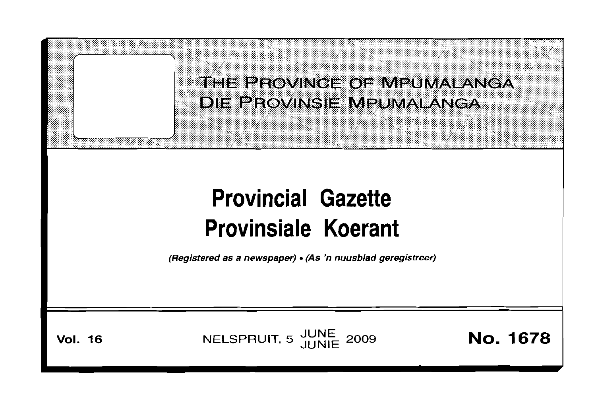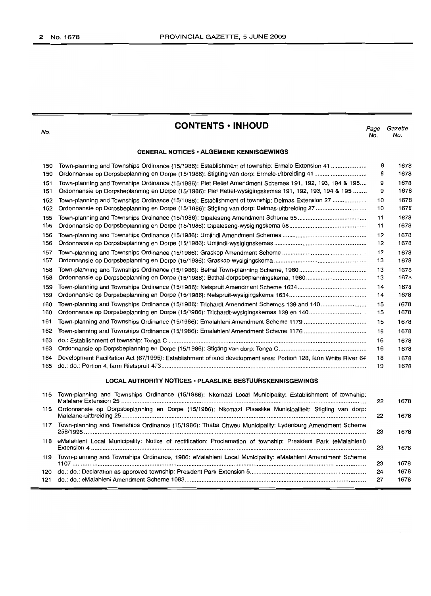**CONTENTS • INHOUD**

*Page Gazette* No. No.

## **GENERAL NOTICES' ALGEMENE KENNISGEWINGS**

| 150 | Town-planning and Townships Ordinance (15/1986): Establishment of township: Ermelo Extension 41                  | 8  | 1678 |
|-----|------------------------------------------------------------------------------------------------------------------|----|------|
| 150 |                                                                                                                  | 8  | 1678 |
| 151 | Town-planning and Townships Ordinance (15/1986): Piet Retief Amendment Schemes 191, 192, 193, 194 & 195          | 9  | 1678 |
| 151 | Ordonnansie op Dorpsbeplanning en Dorpe (15/1986): Piet Retief-wysigingskemas 191, 192, 193, 194 & 195           | 9  | 1678 |
| 152 | Town-planning and Townships Ordinance (15/1986): Establishment of township: Delmas Extension 27                  | 10 | 1678 |
| 152 |                                                                                                                  | 10 | 1678 |
| 155 |                                                                                                                  | 11 | 1678 |
| 155 |                                                                                                                  | 11 | 1678 |
| 156 |                                                                                                                  | 12 | 1678 |
| 156 |                                                                                                                  | 12 | 1678 |
| 157 |                                                                                                                  | 12 | 1678 |
| 157 |                                                                                                                  | 13 | 1678 |
| 158 |                                                                                                                  | 13 | 1678 |
| 158 |                                                                                                                  | 13 | 1678 |
| 159 |                                                                                                                  | 14 | 1678 |
| 159 |                                                                                                                  | 14 | 1678 |
| 160 | Town-planning and Townships Ordinance (15/1986): Trichardt Amendment Schemes 139 and 140                         | 15 | 1678 |
| 160 |                                                                                                                  | 15 | 1678 |
| 161 |                                                                                                                  | 15 | 1678 |
| 162 |                                                                                                                  | 16 | 1678 |
| 163 |                                                                                                                  | 16 | 1678 |
| 163 |                                                                                                                  | 16 | 1678 |
| 164 | Development Facilitation Act (67/1995): Establishment of land development area: Portion 128, farm White River 64 | 18 | 1678 |
| 165 |                                                                                                                  | 19 | 1678 |
|     |                                                                                                                  |    |      |

## **LOCAL AUTHORITY NOTICES, PLAASLIKE BESTUURSKENNISGEWINGS**

| 115 | Town-planning and Townships Ordinance (15/1986): Nkomazi Local Municipality: Establishment of township:           | 22                                     | 1678 |
|-----|-------------------------------------------------------------------------------------------------------------------|----------------------------------------|------|
|     | 115 Ordonnansie op Dorpsbeplanning en Dorpe (15/1986): Nkomazi Plaaslike Munisipaliteit: Stigting van dorp:       | 22                                     | 1678 |
| 117 | Town-planning and Townships Ordinance (15/1986): Thaba Chweu Municipality: Lydenburg Amendment Scheme             | 1678<br>23<br>1678<br>23<br>23<br>1678 |      |
|     | 118 eMalahleni Local Municipality: Notice of rectification: Proclamation of township: President Park (eMalahleni) |                                        |      |
| 119 | Town-planning and Townships Ordinance, 1986: eMalahleni Local Municipality: eMalahleni Amendment Scheme           |                                        |      |
| 120 |                                                                                                                   | 24                                     | 1678 |
| 121 |                                                                                                                   | 27                                     | 1678 |

No.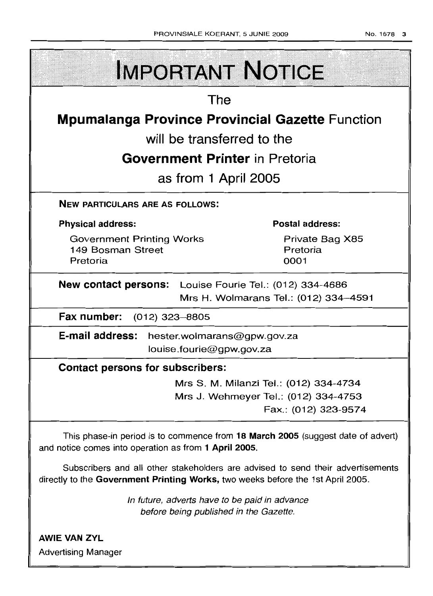| <b>IMPORTANT NOTICE</b>                                                                                                                                            |  |  |  |  |  |
|--------------------------------------------------------------------------------------------------------------------------------------------------------------------|--|--|--|--|--|
| The                                                                                                                                                                |  |  |  |  |  |
| <b>Mpumalanga Province Provincial Gazette Function</b>                                                                                                             |  |  |  |  |  |
| will be transferred to the                                                                                                                                         |  |  |  |  |  |
| <b>Government Printer</b> in Pretoria                                                                                                                              |  |  |  |  |  |
| as from 1 April 2005                                                                                                                                               |  |  |  |  |  |
| <b>NEW PARTICULARS ARE AS FOLLOWS:</b>                                                                                                                             |  |  |  |  |  |
| <b>Physical address:</b><br><b>Postal address:</b>                                                                                                                 |  |  |  |  |  |
| <b>Government Printing Works</b><br>Private Bag X85<br>149 Bosman Street<br>Pretoria<br>Pretoria<br>0001                                                           |  |  |  |  |  |
| New contact persons: Louise Fourie Tel.: (012) 334-4686<br>Mrs H. Wolmarans Tel.: (012) 334-4591                                                                   |  |  |  |  |  |
| Fax number: (012) 323-8805                                                                                                                                         |  |  |  |  |  |
| E-mail address:<br>hester.wolmarans@gpw.gov.za<br>louise.fourie@gpw.gov.za                                                                                         |  |  |  |  |  |
| <b>Contact persons for subscribers:</b>                                                                                                                            |  |  |  |  |  |
| Mrs S. M. Milanzi Tel.: (012) 334-4734                                                                                                                             |  |  |  |  |  |
| Mrs J. Wehmeyer Tel.: (012) 334-4753<br>Fax.: (012) 323-9574                                                                                                       |  |  |  |  |  |
| This phase-in period is to commence from 18 March 2005 (suggest date of advert)<br>and notice comes into operation as from 1 April 2005.                           |  |  |  |  |  |
| Subscribers and all other stakeholders are advised to send their advertisements<br>directly to the Government Printing Works, two weeks before the 1st April 2005. |  |  |  |  |  |
| In future, adverts have to be paid in advance<br>before being published in the Gazette.                                                                            |  |  |  |  |  |
| <b>AWIE VAN ZYL</b><br><b>Advertising Manager</b>                                                                                                                  |  |  |  |  |  |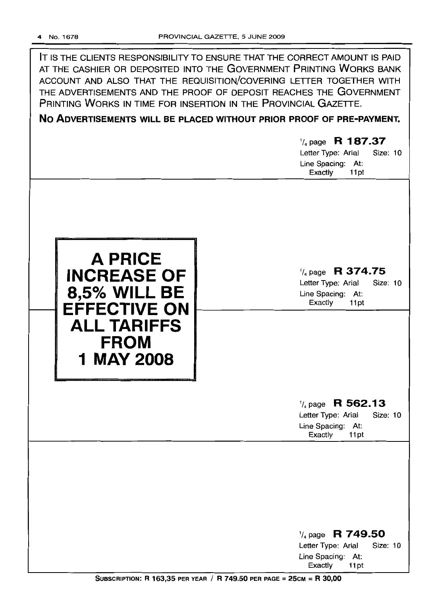| IT IS THE CLIENTS RESPONSIBILITY TO ENSURE THAT THE CORRECT AMOUNT IS PAID<br>AT THE CASHIER OR DEPOSITED INTO THE GOVERNMENT PRINTING WORKS BANK<br>ACCOUNT AND ALSO THAT THE REQUISITION/COVERING LETTER TOGETHER WITH<br>THE ADVERTISEMENTS AND THE PROOF OF DEPOSIT REACHES THE GOVERNMENT<br>PRINTING WORKS IN TIME FOR INSERTION IN THE PROVINCIAL GAZETTE.<br>NO ADVERTISEMENTS WILL BE PLACED WITHOUT PRIOR PROOF OF PRE-PAYMENT. |                                                                                                       |  |  |  |  |
|-------------------------------------------------------------------------------------------------------------------------------------------------------------------------------------------------------------------------------------------------------------------------------------------------------------------------------------------------------------------------------------------------------------------------------------------|-------------------------------------------------------------------------------------------------------|--|--|--|--|
|                                                                                                                                                                                                                                                                                                                                                                                                                                           |                                                                                                       |  |  |  |  |
|                                                                                                                                                                                                                                                                                                                                                                                                                                           | $\frac{1}{4}$ page R 187.37<br>Letter Type: Arial<br>Size: 10<br>Line Spacing: At:<br>Exactly<br>11pt |  |  |  |  |
|                                                                                                                                                                                                                                                                                                                                                                                                                                           |                                                                                                       |  |  |  |  |
| <b>A PRICE</b><br><b>INCREASE OF</b><br><b>8,5% WILL BE</b><br><b>EFFECTIVE ON</b><br><b>ALL TARIFFS</b><br><b>FROM</b>                                                                                                                                                                                                                                                                                                                   | $\frac{1}{4}$ page R 374.75<br>Size: 10<br>Letter Type: Arial<br>Line Spacing: At:<br>Exactly<br>11pt |  |  |  |  |
| <b>1 MAY 2008</b>                                                                                                                                                                                                                                                                                                                                                                                                                         | $\frac{1}{4}$ page R 562.13<br>Size: 10<br>Letter Type: Arial<br>Line Spacing: At:<br>Exactly<br>11pt |  |  |  |  |
|                                                                                                                                                                                                                                                                                                                                                                                                                                           | $\frac{1}{4}$ page R 749.50<br>Letter Type: Arial<br>Size: 10<br>Line Spacing: At:<br>Exactly<br>11pt |  |  |  |  |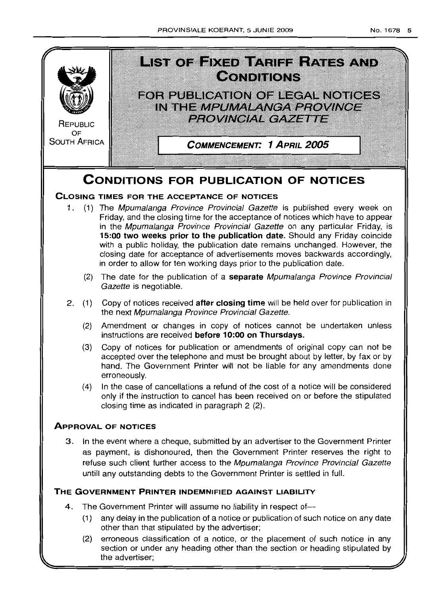

(2) erroneous classification of a notice, or the placement of such notice in any section or under any heading other than the section or heading stipulated by the advertiser;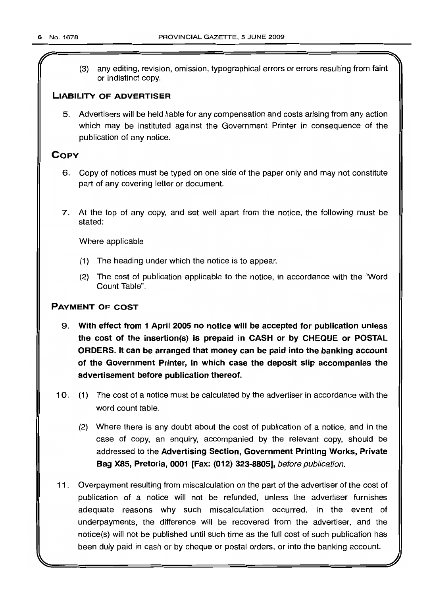r

(3) any editing, revision, omission, typographical errors or errors resulting from faint or indistinct copy.

## LIABILITY OF ADVERTISER

5. Advertisers will be held liable for any compensation and costs arising from any action which may be instituted against the Government Printer in consequence of the publication of any notice.

## **COPY**

- 6. Copy of notices must be typed on one side of the paper only and may not constitute part of any covering letter or document.
- 7. At the top of any copy, and set well apart from the notice, the following must be stated:

Where applicable

- (1) The heading under which the notice is to appear.
- (2) The cost of publication applicable to the notice, in accordance with the "Word Count Table".

## PAYMENT OF COST

- 9. With effect from 1 April 2005 no notice will be accepted for publlcatlon unless the cost of the insertion(s) is prepaid in CASH or by CHEQUE or POSTAL ORDERS. It can be arranged that money can be paid into the banking account of the Government Printer, in which case the deposit slip accompanies the advertisement before publication thereof.
- 10. (1) The cost of a notice must be calculated by the advertiser in accordance with the word count table.
	- (2) Where there is any doubt about the cost of publication of a notice, and in the case of copy, an enquiry, accompanied by the relevant copy, should be addressed to the Advertising Section, Government Printing Works, Private Bag X85, Pretoria, 0001 [Fax: (012) 323-8805], before publication.
- 11 . Overpayment resulting from miscalculation on the part of the advertiser of the cost of publication of a notice will not be refunded, unless the advertiser furnishes adequate reasons why such miscalculation occurred. In the event of underpayments, the difference will be recovered from the advertiser, and the notice(s) will not be published until such time as the full cost of such publication has been duly paid in cash or by cheque or postal orders, or into the banking account.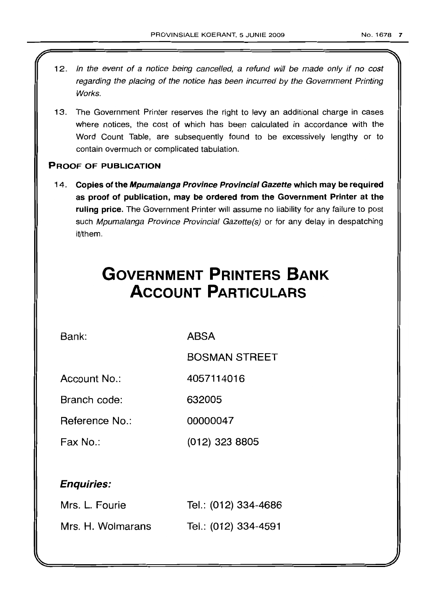- 12. In the event of a notice being cancelled, a refund will be made only if no cost regarding the placing of the notice has been incurred by the Government Printing Works.
- 13. The Government Printer reserves the right to levy an additional charge in cases where notices, the cost of which has been calculated *in* accordance with the Word Count Table, are subsequently found to be excessively lengthy or to contain overmuch or complicated tabulation.

## PROOF OF PUBLICATION

14. Copies of the Mpumalanga Province Provincial Gazette which may be required as proof of publication, may be ordered from the Government Printer at the ruling price. The Government Printer will assume no liability for any failure to post such Mpumalanga Province Provincial Gazette(s) or for any delay in despatching it/them.

# **GOVERNMENT PRINTERS BANK ACCOUNT PARTICULARS**

Bank: ABSA

BOSMAN STREET

Account No.: 4057114016

Branch code: 632005

Reference No.: 00000047

Fax No.: (012) 323 8805

## Enquiries:

| Mrs. L. Fourie    | Tel.: (012) 334-4686 |
|-------------------|----------------------|
| Mrs. H. Wolmarans | Tel.: (012) 334-4591 |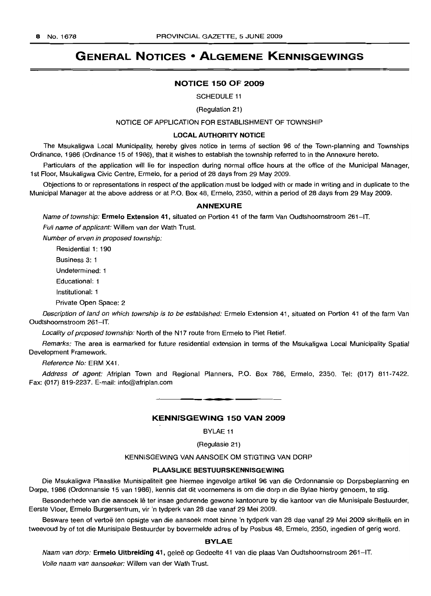# **GENERAL NOTICES • ALGEMENE KENNISGEWINGS**

#### **NOTICE 150 OF 2009**

SCHEDULE 11

(Regulation 21)

#### NOTICE OF APPLICATION FOR ESTABLISHMENT OF TOWNSHIP

#### **LOCAL AUTHORITY NOTICE**

The Msukaligwa Local Municipality, hereby gives notice in terms of section 96 of the Town-planning and Townships Ordinance, 1986 (Ordinance 15 of 1986), that it wishes to establish the township referred to in the Annexure hereto.

Particulars of the application will lie for inspection during normal office hours at the office of the Municipal Manager, 1st Floor, Msukaligwa Civic Centre, Ermelo, for a period of 28 days from 29 May 2009.

Objections to or representations in respect of the application must be lodged with or made in writing and in duplicate to the Municipal Manager at the above address or at P.O. Box 48, Ermelo, 2350, within a period of 28 days from 29 May 2009.

#### **ANNEXURE**

Name of township: **Ermelo Extension** 41, situated on Portion 41 of the farm Van Oudtshoornstroom 261-1T.

Full name of applicant: Willem van der Wath Trust.

Number of erven in proposed township:

Residential 1: 190

Business 3: 1

Undetermined: 1

Educational: 1

Institutional: 1

Private Open Space: 2

Description of land on which township is to be established: Ermelo Extension 41, situated on Portion 41 of the farm Van Oudtshoornstroom 261-IT.

Locality of proposed township: North of the N17 route from Ermelo to Piet Retief.

Remarks: The area is earmarked for future residential extension in terms of the Msukaligwa Local Municipality Spatial Development Framework.

Reference No: ERM X41.

Address of agent: Afriplan Town and Regional Planners, P.O. Box 786, Ermelo, 2350. Tel: (017) 811-7422. Fax: (017) 819-2237. E-mail: info@afriplan.com

## **KENNISGEWING 150 VAN 2009**

**••**

BYLAE 11

(Regulasie 21)

KENNISGEWING VAN AANSOEK OM STIGTING VAN DORP

## **PLAASLIKE BESTUURSKENNISGEWING**

Die Msukaligwa Plaaslike Munisipaliteit gee hiermee ingevolge artikel 96 van die Ordonnansie op Dorpsbeplanning en Dorpe, 1986 (Ordonnansie 15 van 1986), kennis dat dit voornemens is om die dorp in die Bylae hierby genoem, te stig.

Besonderhede van die aansoek lê ter insae gedurende gewone kantoorure by die kantoor van die Munisipale Bestuurder, Eerste Vloer, Ermelo Burgersentrum, vir 'n tydperk van 28 dae vanaf 29 Mei 2009.

Besware teen of vertoë ten opsigte van die aansoek moet binne 'n tydperk van 28 dae vanaf 29 Mei 2009 skriftelik en in tweevoud by of tot die Munisipale Bestuurder by bovermelde adres of by Posbus 48, Ermelo, 2350, ingedien of gerig word.

#### **BYLAE**

Naam van dorp: **Ermelo Uitbreiding** 41, gelee op Gedeelte 41 van die plaas Van Oudtshoornstroom 261-IT.

Volle naam van aansoeker: Willem van der Wath Trust.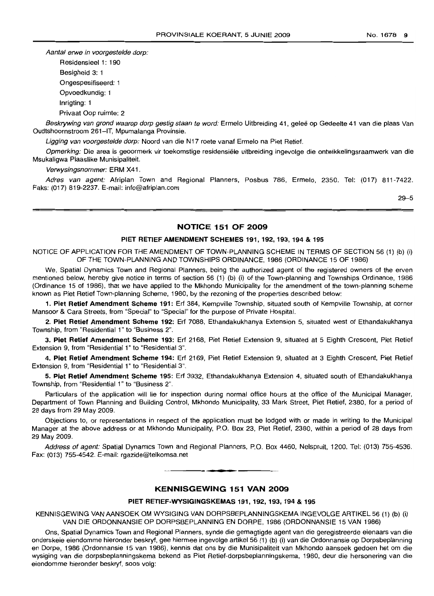Aantal erwe in voorgestelde dorp:

Residensieel 1: 190

Besigheid 3: 1

Ongespesifiseerd: 1

Opvoedkundig: 1

Inrigting: 1

Privaat Oop ruimte: 2

Beskrywing van grond waarop dorp gestig staan te word: Ermelo Uitbreiding 41, geleë op Gedeelte 41 van die plaas Van Oudtshoornstroom 261-IT, Mpumalanga Provinsie.

Ligging van voorgestelde dorp: Noord van die N17 roete vanaf Ermelo na Piet Retief.

Opmerking: Die area is geoormerk vir toekomstige residensiële uitbreiding ingevolge die ontwikkelingsraamwerk van die Msukaligwa Plaaslike Munisipaliteit.

Verwysingsnommer: ERM X41 .

Adres van agent: Afriplan Town and Regional Planners, Posbus 786, Ermelo, 2350. Tel: (017) 811-7422. Faks: (017) 819-2237. E-mail: info@afriplan.com

29-5

## NOTICE 151 OF 2009

## PIET RETIEF AMENDMENT SCHEMES 191, 192, 193, 194 & 195

NOTICE OF APPLICATION FOR THE AMENDMENT OF TOWN-PLANNING SCHEME IN TERMS OF SECTION 56 (1) (b) (i) OF THE TOWN-PLANNING AND TOWNSHIPS ORDINANCE, 1986 (ORDINANCE 15 OF 1986)

We, Spatial Dynamics Town and Regional Planners, being the authorized agent of the registered owners of the erven mentioned below, hereby give notice in terms of section 56 (1) (b) (i) of the Town-planning and Townships Ordinance, 1986 (Ordinance 15 of 1986), that we have applied to the Mkhondo Municipality for the amendment of the town-planning scheme known as Piet Retief Town-planning Scheme, 1980, by the rezoning of the properties described below:

1. Piet Retief Amendment Scheme 191: Erf 384, Kempville Township, situated south of Kempville Township, at corner Mansoor & Cara Streets, from "Special" to "Special" for the purpose of Private Hospital.

2. Piet Retief Amendment Scheme 192: Erf 7088, Ethandakukhanya Extension 5, situated west of Ethandakukhanya Township, from "Residential 1" to "Business 2".

3. Piet Retief Amendment Scheme 193: Erf 2168, Piet Retief Extension 9, situated at 5 Eighth Crescent, Piet Retief Extension 9, from "Residential 1" to "Residential 3".

4. Piet Retief Amendment Scheme 194: Erf 2169, Piet Retief Extension 9, situated at 3 Eighth Crescent, Piet Retief Extension 9, from "Residential 1" to "Residential 3".

5. Piet Retief Amendment Scheme 195: Erf 3932, Ethandakukhanya Extension 4, situated south of Ethandakukhanya Township, from "Residential 1" to "Business 2".

Particulars of the application will lie for inspection during normal office hours at the office of the Municipal Manager, Department of Town Planning and Building Control, Mkhondo Municipality, 33 Mark Street, Piet Retief, 2380, for a period of 28 days from 29 May 2009.

Objections to, or representations in respect of the application must be lodged with or made in writing to the Municipal Manager at the above address or at Mkhondo Municipality, P.O. Box 23, Piet Retief, 2380, within a period of 28 days from 29 May 2009.

Address of agent: Spatial Dynamics Town and Regional Planners, P.O. Box 4460, Nelspruit, 1200. Tel: (013) 755-4536. Fax: (013) 755-4542. E-mail: rgazide@telkomsa.net

**\_ E**

## KENNISGEWING 151 VAN 2009

## PIET RETIEF-WYSIGINGSKEMAS 191, 192, 193, 194 & 195

KENNISGEWING VAN AANSOEK OM WYSIGING VAN DORPSBEPLANNINGSKEMA INGEVOLGE ARTIKEL 56 (1) (b) (i) VAN DIE ORDONNANSIE OP DORPSBEPLANNING EN DORPE, 1986 (ORDONNANSIE 15 VAN 1986)

Ons, Spatial Dynamics Town and Regional Planners, synde die gemagtigde agent van die geregistreerde eienaars van die onderskeie eiendomme hieronder beskryf, gee hiermee ingevolge artikel 56 (1) (b) (i) van die Ordonnansie op Dorpsbeplanning en Dorpe, 1986 (Ordonnansie 15 van 1986), kennis dat ons by die Munisipaliteit van Mkhondo aansoek gedoen het om die wysiging van die dorpsbeplanningskema bekend as Piet Retief-dorpsbeplanningskema, 1980, deur die hersonering van die eiendomme hieronder beskryf, soos volg: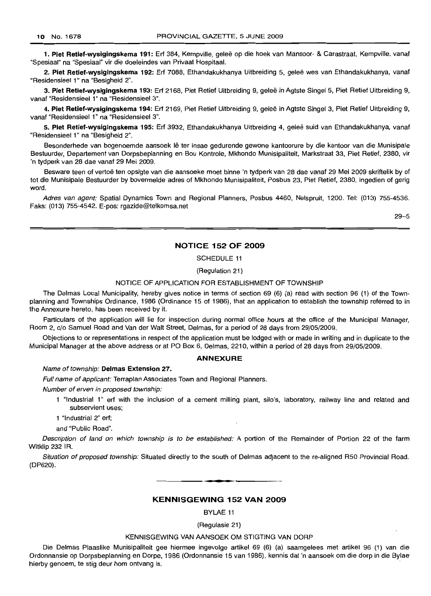1. Piet Retief-wysigingskema 191: Erf 384, Kempville, geleë op die hoek van Mansoor- & Carastraat, Kempville, vanaf "Spesiaal" na "Spesiaal" vir die doeleindes van Privaat Hospitaal.

2. Piet Retief-wysigingskema 192: Erf 7088, Ethandakukhanya Uitbreiding 5, geleë wes van Ethandakukhanya, vanaf "Residensieel 1" na "Besigheid 2".

3. Piet Retief-wysigingskema 193: Erf 2168, Piet Retief Uitbreiding 9, gelee in Agtste Singel 5, Piet Retief Uitbreiding 9, vanaf "Residensieel 1" na "Residensieel 3".

4. Piet Retief-wysigingskema 194: Erf 2169, Piet Retief Uitbreiding 9, gelee in Agtste Singel 3, Piet Retief Uitbreiding 9, vanaf "Residensieel 1" na "Residensieel 3".

5. Piet Retief-wysigingskema 195: Erf 3932, Ethandakukhanya Uitbreiding 4, geleë suid van Ethandakukhanya, vanaf "Residensieel 1" na "Besigheid 2".

Besonderhede van bogenoemde aansoek Ie ter insae gedurende gewone kantoorure by die kantoor van die Munisipale Bestuurder, Departement van Dorpsbeplanning en Bou Kontrole, Mkhondo Munisipaliteit, Markstraat 33, Piet Retief, 2380, vir 'n tydperk van 28 dae vanaf 29 Mei 2009.

Besware teen of vertoë ten opsigte van die aansoeke moet binne 'n tydperk van 28 dae vanaf 29 Mei 2009 skriftelik by of tot die Munisipale Bestuurder by bovermelde adres of Mkhondo Munisipaliteit, Posbus 23, Piet Retief, 2380, ingedien of gerig word.

Adres van agent: Spatial Dynamics Town and Regional Planners, Posbus 4460, Nelspruit, 1200. Tel: (013) 755-4536. Faks: (013) 755-4542. E-pos: rgazide@telkomsa.net

29-5

## NOTICE 152 OF 2009

SCHEDULE 11

(Regulation 21)

#### NOTICE OF APPLICATION FOR ESTABLISHMENT OF TOWNSHIP

The Delmas Local Municipality, hereby gives notice in terms of section 69 (6) (a) read with section 96 (1) of the Townplanning and Townships Ordinance, 1986 (Ordinance 15 of 1986), that an application to establish the township referred to in the Annexure hereto, has been received by it.

Particulars of the application will lie for inspection during normal office hours at the office of the Municipal Manager, Room 2, c/o Samuel Road and Van der Walt Street, Delmas, for a period of 28 days from 29/05/2009.

Objections to or representations in respect of the application must be lodged with or made in writing and in duplicate to the Municipal Manager at the above address or at PO Box 6, Delmas, 2210, within a period of 28 days from 29/05/2009.

#### ANNEXURE

#### Name of township: Delmas Extension 27.

Full name of applicant: Terraplan Associates Town and Regional Planners.

Number of erven in proposed township:

1 "Industrial 1" erf with the inclusion of a cement milling plant, silo's, laboratory, railway line and related and subservient uses;

1 "Industrial 2" erf;

and "Public Road".

Description of land on which township is to be established: A portion of the Remainder of Portion 22 of the farm Witklip 232 IR.

Situation of proposed township: Situated directly to the south of Delmas adjacent to the re-aligned R50 Provincial Road. (DP620).

**- .**

#### KENNISGEWING 152 VAN 2009

BYLAE 11

(Regulasie 21)

#### KENNISGEWING VAN AANSOEK OM STIGTING VAN DORP

Die Delmas Plaaslike Munisipaliteit gee hiermee ingevolge artikel 69 (6) (a) saamgelees met artikel 96 (1) van die Ordonnansie op Dorpsbeplanning en Dorpe, 1986 (Ordonnansie 15 van 1986). kennis dat 'n aansoek om die dorp in die Bylae hierby genoem, te stig deur hom ontvang is.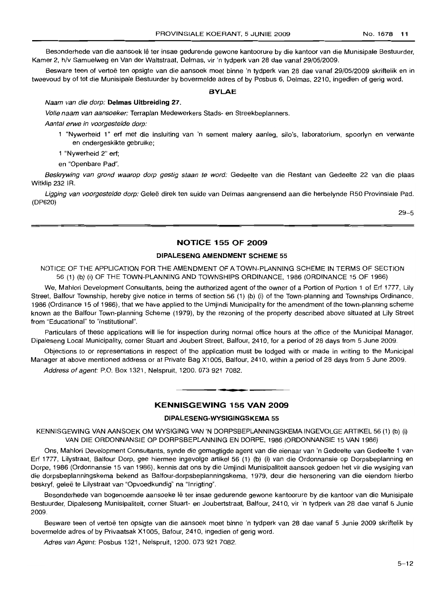Besonderhede van die aansoek lê ter insae gedurende gewone kantoorure by die kantoor van die Munisipale Bestuurder, Kamer 2, h/v Samuelweg en Van der Waltstraat, Delmas, vir 'n tydperk van 28 dae vanaf 29/05/2009.

Besware teen of vertoë ten opsigte van die aansoek moet binne 'n tydperk van 28 dae vanaf 29/05/2009 skriftelik en in tweevoud by of tot die Munisipale Bestuurder by bovermelde adres of by Posbus 6, Delmas, 2210, ingedien of gerig word.

## **BYLAE**

#### Naam van die dorp: **Delmas Uitbreiding** 27.

Volle naam van aansoeker: Terraplan Medewerkers Stads- en Streekbeplanners.

Aantal erwe in voorgestelde dorp:

- 1 "Nywerheid 1" erf met die insluiting van 'n sement malery aanleg, silo's, laboratorium, spoorlyn en verwante en ondergeskikte gebruike;
- 1 "Nywerheid 2" erf;

en "Openbare Pad".

Beskrywing van grond waarop dorp gestig staan te word: Gedeelte van die Restant van Gedeelte 22 van die plaas Witklip 232 IR.

Ligging van voorgestelde dorp: Geleë direk ten suide van Delmas aangrensend aan die herbelynde R50 Provinsiale Pad. (DP620)

29-5

## **NOTICE 155 OF 2009**

## **DIPALESENG AMENDMENT SCHEME** 55

NOTICE OF THE APPLICATION FOR THE AMENDMENT OF A TOWN-PLANNING SCHEME IN TERMS OF SECTION 56 (1) (b) (i) OF THE TOWN-PLANNING AND TOWNSHIPS ORDINANCE, 1986 (ORDINANCE 15 OF 1986)

We, Mahlori Development Consultants, being the authorized agent of the owner of a Portion of Portion 1 of Erf 1777, Lily Street, Balfour Township, hereby give notice in terms of section 56 (1) (b) (i) of the Town-planning and Townships Ordinance, 1986 (Ordinance 15 of 1986), that we have applied to the Umjindi Municipality for the amendment of the town-planning scheme known as the Balfour Town-planning Scheme (1979), by the rezoning of the property described above situated at Lily Street from "Educational" to "Institutional".

Particulars of these applications will lie for inspection during normal office hours at the office of the Municipal Manager, Dipaleseng Local Municipality, corner Stuart and Joubert Street, Balfour, 2410, for a period of 28 days from 5 June 2009.

Objections to or representations in respect of the application must be lodged with or made in writing to the Municipal Manager at above mentioned address or at Private Bag X1005, Balfour, 2410, within a period of 28 days from 5 June 2009.

Address of agent: P.O. Box 1321, Nelspruit, 1200. 073 921 7082 .

## **KENNISGEWING 155 VAN 2009**

**• I**

## **DIPALESENG-WYSIGINGSKEMA 55**

KENNISGEWING VAN AANSOEK OM WYSIGING VAN 'N DORPSBEPLANNINGSKEMA INGEVOLGE ARTIKEL 56 (1) (b) (i) VAN DIE ORDONNANSIE OP DORPSBEPLANNING EN DORPE, 1986 (ORDONNANSIE 15 VAN 1986)

Ons, Mahlori Development Consultants, synde die gemagtigde agent van die eienaar van 'n Gedeelte van Gedeelte 1 van Erf 1777, Lilystraat, Balfour Dorp, gee hiermee ingevolge artikel 56 (1) (b) (i) van die Ordonnansie op Dorpsbeplanning en Dorpe, 1986 (Ordonnansie 15 van 1986), kennis dat ons by die Umjindi Munisipaliteit aansoek gedoen net vir die wysiging van die dorpsbeplanningskema bekend as Balfour-dorpsbeplanningskema, 1979, deur die hersonering van die eiendom hierbo beskryf, geleë te Lilystraat van "Opvoedkundig" na "Inrigting".

Besonderhede van bogenoemde aansoeke lê ter insae gedurende gewone kantoorure by die kantoor van die Munisipale Bestuurder, Dipaleseng Munisipaliteit, corner Stuart- en Joubertstraat, Balfour, 2410, vir 'n tydperk van 28 dae vanaf 5 Junie 2009.

Besware teen of vertoe ten opsigte van die aansoek moet binne 'n tydperk van 28 dae vanaf 5 Junie 2009 skriftelik by bovermelde adres of by Privaatsak X1005, Bafour, 2410, ingedien of gerig word.

Adres van Agent: Posbus 1321, Nelspruit, 1200. 073 921 7082.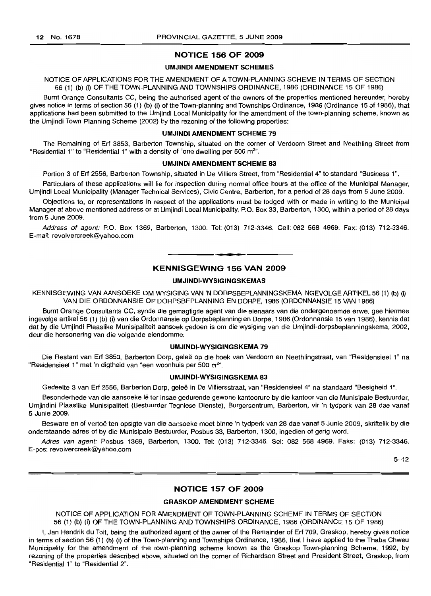## **NOTICE 156 OF 2009**

## **UMJINDI AMENDMENT SCHEMES**

## NOTICE OF APPLICATIONS FOR THE AMENDMENT OF A TOWN-PLANNING SCHEME IN TERMS OF SECTION 56 (1) (b) (i) OF THE TOWN-PLANNING AND TOWNSHIPS ORDINANCE, 1986 (ORDINANCE 15 OF 1986)

Burnt Orange Consultants CC, being the authorised agent of the owners of the properties mentioned hereunder, hereby gives notice in terms of section 56 (1) (b) (i) of the Town-planning and Townships Ordinance, 1986 (Ordinance 15 of 1986), that applications had been submitted to the Umjindi Local Municipality for the amendment of the town-planning scheme, known as the Umjindi Town Planning Scheme (2002) by the rezoning of the following properties:

#### **UMJINDI AMENDMENT SCHEME 79**

The Remaining of Erf 3853, Barberton Township, situated on the corner of Verdoorn Street and Neethling Street from "Residential 1" to "Residential 1" with a density of "one dwelling per 500  $m<sup>2</sup>$ ".

#### **UMJINDI AMENDMENT SCHEME 83**

Portion 3 of Erf 2556, Barberton Township, situated in De Villiers Street, from "Residential 4" to standard "Business 1".

Particulars of these applications will lie for inspection during normal office hours at the office of the Municipal Manager, Umjindi Local Municipality (Manager Technical Services), Civic Centre, Barberton, for a period of 28 days from 5 June 2009.

Objections to, or representations in respect of the applications must be lodged with or made in writing to the Municipal Manager at above mentioned address or at Umjindi Local Municipality, P.O. Box 33, Barberton, 1300, within a period of 28 days from 5 June 2009.

Address of agent: P.O. Box 1369, Barberton, 1300. Tel: (013) 712-3346. Cell: 082 568 4969. Fax: (013) 712-3346. E-mail: revolvercreek@yahoo.com

## **KENNISGEWING 156 VAN 2009**

**• I**

#### **UMJINDI·WYSIGINGSKEMAS**

KENNISGEWING VAN AANSOEKE OM WYSIGING VAN 'N DORPSBEPLANNINGSKEMA INGEVOLGE ARTIKEL 56 (1) (b) (i) VAN DIE ORDONNANSIE OP DORPSBEPLANNING EN DORPE, 1986 (ORDONNANSIE 15 VAN 1986)

Burnt Orange Consultants CC, synde die gemagtigde agent van die eienaars van die ondergenoemde erwe, gee hiermee ingevolge artikel 56 (1) (b) (i) van die Ordonnansie op Dorpsbeplanning en Dorpe, 1986 (Ordonnansie 15 van 1986), kennis dat dat by die Umjindi Plaaslike Munisipaliteit aansoek gedoen is om die wysiging van die Umjindi-dorpsbeplanningskema, 2002, deur die hersonering van die volgende eiendomme:

#### **UMJINDI·WYSIGINGSKEMA 79**

Die Restant van Erf 3853, Barberton Dorp, geleë op die hoek van Verdoorn en Neethlingstraat, van "Residensieel 1" na "Residensieel 1" met 'n digtheid van "een woonhuis per 500 m<sup>2</sup>".

## **UMJINDI·WYSIGINGSKEMA 83**

Gedeelte 3 van Erf 2556, Barberton Dorp, gelee in De Villiersstraat, van "Residensieel 4" na standaard "Besigheid 1".

Besonderhede van die aansoeke lê ter insae gedurende gewone kantoorure by die kantoor van die Munisipale Bestuurder, Umjindini Plaaslike Munisipaliteit (Bestuurder Tegniese Dienste), Burgersentrum, Barberton, vir 'n tydperk van 28 dae vanaf 5 Junie 2009.

Besware en of vertoë ten opsigte van die aansoeke moet binne 'n tydperk van 28 dae vanaf 5 Junie 2009, skriftelik by die onderstaande adres of by die Munisipale Bestuurder, Posbus 33, Barberton, 1300, ingedien of gerig word.

Adres van agent: Posbus 1369, Barberton, 1300. Tel: (013) 712-3346. Sel: 082 568 4969. Faks: (013) 712-3346. E-pos: revolvercreek@yahoo.com

 $5 - 12$ 

#### **NOTICE 157 OF 2009**

## **GRASKOP AMENDMENT SCHEME**

NOTICE OF APPLICATION FOR AMENDMENT OF TOWN-PLANNING SCHEME IN TERMS OF SECTION 56 (1) (b) (i) OF THE TOWN-PLANNING AND TOWNSHIPS ORDINANCE, 1986 (ORDINANCE 15 OF 1986)

I, Jan Hendrik du Toit, being the authorized agent of the owner of the Remainder of Erf 709, Graskop, hereby gives notice in terms of section 56 (1) (b) (i) of the Town-planning and Townships Ordinance, 1986, that I have applied to the Thaba Chweu Municipality for the amendment of the town-planning scheme known as the Graskop Town-planning Scheme, 1992, by rezoning of the properties described above, situated on the corner of Richardson Street and President Street, Graskop, from "Residential 1" to "Residential 2".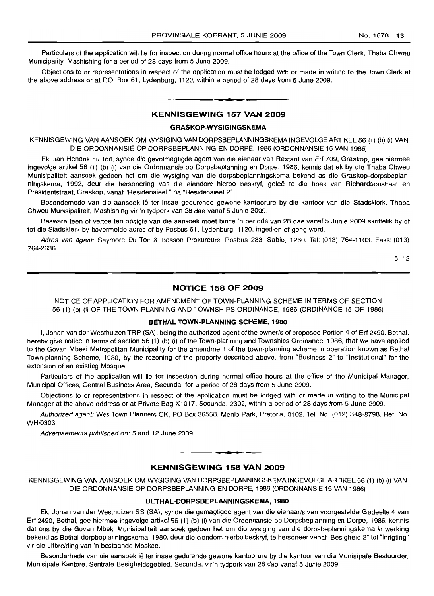Particulars of the application will lie for inspection during normal office hours at the office of the Town Clerk, Thaba Chweu Municipality, Mashishing for a period of 28 days from 5 June 2009.

Objections to or representations in respect of the application must be lodged with or made in writing to the Town Clerk at the above address or at P.O. Box 61, Lydenburg, 1120, within a period of 28 days from 5 June 2009 .

## **KENNISGEWING 157 VAN 2009**

**•**

#### **GRASKOP-WYSIGINGSKEMA**

KENNISGEWING VAN AANSOEK OM WYSIGING VAN DORPSBEPLANNINGSKEMA INGEVOLGE ARTIKEL 56 (1) (b) (i) VAN DIE ORDONNANSIE OP DORPSBEPLANNING EN DORPE, 1986 (ORDONNANSIE 15 VAN 1986)

Ek, Jan Hendrik du Toit, synde die gevolmagtigde agent van die eienaar van Restant van Erf 709, Graskop, gee hiermee inqevolqe artikel 56 (1) (b) (i) van die Ordonnansie op Dorpsbeplanning en Dorpe, 1986, kennis dat ek by die Thaba Chweu Munisipaliteit aansoek gedoen het om die wysiging van die dorpsbeplanningskema bekend as die Graskop-dorpsbeplanningskema, 1992, deur die hersonering van die eiendom hierbo beskryf, gelee te die hoek van Richardsonstraat en Presidentstraat, Graskop, vanaf "Residensieel " na "Residensieel 2".

Besonderhede van die aansoek lê ter insae gedurende gewone kantoorure by die kantoor van die Stadsklerk, Thaba Chweu Munisipaliteit, Mashishing vir 'n tydperk van 28 dae vanaf 5 Junie 2009.

Besware teen of vertoë ten opsigte van die aansoek moet binne 'n periode van 28 dae vanaf 5 Junie 2009 skriftelik by of tot die Stadsklerk by bovermelde adres of by Posbus 61, Lydenburg, 1120, ingedien of gerig word.

Adres van agent: Seymore Du Toit & Basson Prokureurs, Posbus 283, Sabie, 1260. Tel: (013) 764-1103. Faks: (013) 764-2636.

 $5 - 12$ 

## **NOTICE 158 OF 2009**

NOTICE OF APPLICATiON FOR AMENDMENT OF TOWN-PLANNING SCHEME IN TERMS OF SECTION 56 (1) (b) (i) OF THE TOWN-PLANNING AND TOWNSHIPS ORDINANCE, 1986 (ORDINANCE 15 OF 1986)

#### **BETHAL TOWN-PLANNING SCHEME, 1980**

i, Johan van der Westhuizen TRP (SA), being the authorized agent of the owner/s of proposed Portion 4 of Erf 2490, Bethal, hereby give notice in terms of section 56 (1) (b) (i) of the Town-planning and Townships Ordinance, 1986, that we have applied to the Govan Mbeki Metropolitan Municipality for the amendment of the town-planning scheme in operation known as Bethal Town-planning Scheme, 1980, by the rezoning of the property described above, from "Business 2" to "Institutional" for the extension of an existing Mosque.

Particulars of the application will lie for inspection during normal office hours at the office of the Municipal Manager, Municipal Offices, Central Business Area, Secunda, for a period of 28 days from 5 June 2009.

Objections to or representations in respect of the application must be lodged with or made in writing to the Municipal Manager at the above address or at Private Bag X1017, Secunda, 2302, within a period of 28 days from 5 June 2009.

Authorized agent: Wes Town Planners CK, PO Box 36558, Menlo Park, Pretoria, 0102. Tel. No. (012) 348-8798. Ref. No. WH/0303.

Advertisements published on: 5 and 12 June 2009.

#### **KENNISGEWING 158 VAN 2009**

**• •**

KENNISGEWING VAN AANSOEK OM WYSIGING VAN DORPSBEPLANNINGSKEMAINGEVOLGEARTIKEL56 (1) (b) (i) VAN DIE ORDONNANSIE OP DORPSBEPLANNING EN DORPE, 1986 (ORDONNANSIE 15 VAN 1986)

## **BETHAL-DORPSBEPLANNINGSKEMA, 1980**

Ek, Johan van der Westhuizen SS (SA), synde die gemagtigde agent van die eienaar/s van voorgestelde Gedeelte 4 van Erf 2490, Bethal, gee hiermee ingevolge artikel56 (1) (b) (i) van die Ordonnansie op Dorpsbeplanning en Dorpe, 1986, kennis dat ons by die Govan Mbeki Munisipaliteit aansoek gedoen het om die wysiging van die dorpsbeplanningskema in werking bekend as Bethal-dorpbeplanningskema, 1980, deur die eiendom hierbo beskryf, te hersoneer vanaf "Besigheid 2" tot "Inrigting" vir die uitbreiding van 'n bestaande Moskee.

Besonderhede van die aansoek lê ter insae gedurende gewone kantoorure by die kantoor van die Munisipale Bestuurder, Munisipale Kantore, Sentrale Besigheidsgebied, Secunda, vir'n tydperk van 28 dae vanaf 5 Junie 2009.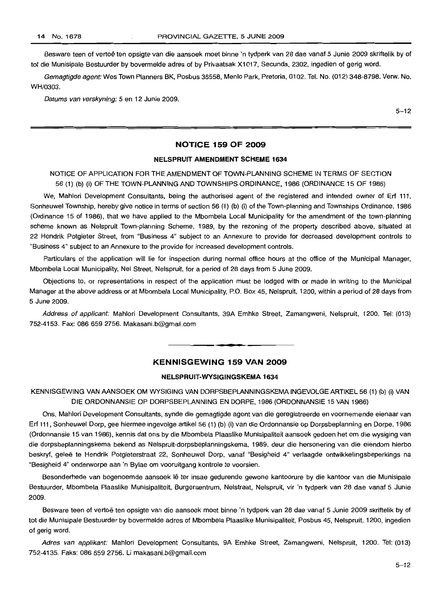Besware teen of vertoë ten opsigte van die aansoek moet binne 'n tydperk van 28 dae vanaf 5 Junie 2009 skriftelik by of tot die Munisipale Bestuurder by bovermelde adres of by Privaatsak X1017, Secunda, 2302, ingedien of gerig word.

Gemagtigde agent: Wes Town Planners BK, Posbus 36558, Menlo Park, Pretoria, 0102. Tel. No. (012) 348-8798. Verw. No. WH/0303.

Datums van verskyning: 5 en 12 Junie 2009.

 $5 - 12$ 

## **NOTICE 159 OF 2009**

#### **NELSPRUIT AMENDMENT SCHEME 1634**

NOTICE OF APPLICATION FOR THE AMENDMENT OF TOWN-PLANNING SCHEME IN TERMS OF SECTION 56 (1) (b) (i) OF THE TOWN-PLANNING AND TOWNSHIPS ORDINANCE, 1986 (ORDINANCE 15 OF 1986)

We, Mahlori Development Consultants, being the authorised agent of the registered and intended owner of Erf 111, Sonheuwel Township, hereby give notice in terms of section 56 (1) (b) (i) of the Town-planning and Townships Ordinance, 1986 (Ordinance 15 of 1986), that we have applied to the Mbombela Local Municipality for the amendment of the town-planning scheme known as Nelspruit Town-planning Scheme, 1989, by the rezoning of the property described above, situated at 22 Hendrik Potgieter Street, from "Business 4" subject to an Annexure to provide for decreased development controls to "Business 4" subject to an Annexure to the provide for increased development controls.

Particulars of the application will lie for inspection during normal office hours at the office of the Municipal Manager, Mbombela Local Municipality, Nel Street, Nelspruit, for a period of 28 days from 5 June 2009.

Objections to, or representations in respect of the application must be lodged with or made in writing to the Municipal Manager at the above address or at Mbombela Local Municipality, P.O. Box 45, Nelspruit, 1200, within a period of 28 days from 5 June 2009.

Address of applicant: Mahlori Development Consultants, 39A Emhke Street, Zamangweni, Nelspruit, 1200. Tel: (013) 752-4153. Fax: 086 659 2756. Makasani.b@gmail.com

## **KENNISGEWING 159 VAN 2009**

**- .**

### **NELSPRUIT-WYSIGINGSKEMA 1634**

KENNISGEWING VAN AANSOEK OM WYSIGING VAN DORPSBEPLANNINGSKEMA INGEVOLGE ARTIKEL 56 (1) (b) (i) VAN DIE ORDONNANSIE OP DORPSBEPLANNING EN DORPE, 1986 (ORDONNANSIE 15 VAN 1986)

Ons, Mahlori Development Consultants, synde die gemagtigde agent van die geregistreerde en voornemende eienaar van Erf 111,Sonheuwel Dorp, gee hiermee ingevolge artikel 56 (1) (b) (i) van die Ordonnansie op Dorpsbeplanning en Dorpe, 1986 (Ordonnansie 15 van 1986), kennis dat ons by die Mbombela Plaaslike Munisipaliteit aansoek gedoen het om die wysiging van die dorpsbeplanningskema bekend as Nelspruit-dorpsbeplanningskema, 1989, deur die hersonering van die eiendom hierbo beskryf, gelee te Hendrik Potgieterstraat 22, Sonheuwel Dorp, vanaf "Besigheid 4" verlaagde ontwikkelingsbeperkings na "Besigheid 4" onderworpe aan 'n Bylae om vooruitgang kontrole te voorsien.

Besonderhede van bogenoemde aansoek lê ter insae gedurende gewone kantoorure by die kantoor van die Munisipale Bestuurder, Mbombela Plaaslike Munisipaliteit, Burgersentrum, Nelstraat, Nelspruit, vir 'n tydperk van 28 dae vanaf 5 Junie 2009.

Besware teen of vertoë ten opsigte van die aansoek moet binne 'n tydperk van 28 dae vanaf 5 Junie 2009 skriftelik by of tot die Munisipale Bestuurder by bovermelde adres of Mbombela Plaaslike Munisipaliteit, Posbus 45, Nelspruit, 1200, ingedien of gerig word.

Adres van applikant: Mahleri Development Consultants, 9A Emhke Street, Zamangweni, Nelspruit, 1200. Tel: (013) 752-4135. Faks: 086 659 2756. Li makasani.b@gmail.com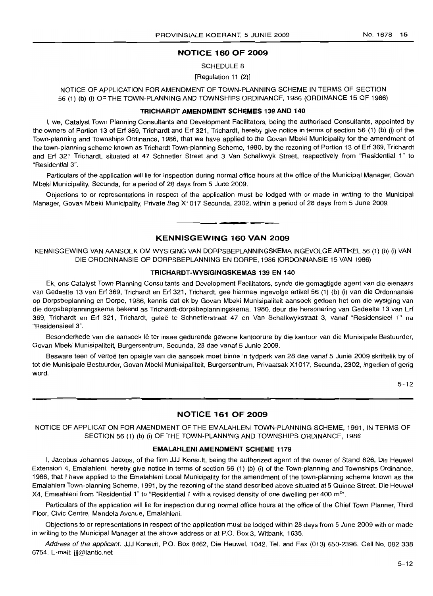## NOTICE 160 OF 2009

SCHEDULE 8

[Regulation 11 (2)]

NOTICE OF APPLICATION FOR AMENDMENT OF TOWN-PLANNING SCHEME IN TERMS OF SECTION 56 (1) (b) (i) OF THE TOWN-PLANNING AND TOWNSHIPS ORDINANCE, 1986 (ORDINANCE 15 OF 1986)

#### TRICHARDT AMENDMENT SCHEMES 139 AND 140

I, we, Catalyst Town Planning Consultants and Development Facilitators, being the authorised Consultants, appointed by the owners of Portion 13 of Erf 369, Trichardt and Erf 321, Trichardt, hereby give notice in terms of section 56 (1) (b) (i) of the Town-planning and Townships Ordinance, 1986, that we have applied to the Govan Mbeki Municipality for the amendment of the town-planning scheme known as Trichardt Town-planning Scheme, 1980, by the rezoning of Portion 13 of Erf 369, Trichardt and Erf 321 Trichardt, situated at 47 Schnetler Street and 3 Van Schalkwyk Street, respectively from "Residential 1" to "FlesidentiaI3".

Particulars of the application will lie for inspection during normal office hours at the office of the Municipal Manager, Govan Mbeki Municipality, Secunda, for a period of 28 days from 5 June 2009.

Objections to or representations in respect of the application must be lodged with or made in writing to the Municipal Manager, Govan Mbeki Municipality, Private Bag Xi 017 Secunda, 2302, within a period of 28 days from 5 June 2009.

#### KENNISGEWING 160 VAN 2009

**. -**

KENNISGEWING VAN AANSOEK OM WYSIGING VAN DORPSBEPLANNINGSKEMA INGEVOLGE ARTIKEL 56 (1) (b) (i) VAN DIE ORDONNANSIE OP DORPSBEPLANNING EN DORPE, 1986 (ORDONNANSIE 15 VAN 1986)

#### TRICHARDT-WYSIGINGSKEMAS 139 EN 140

Ek, ons Catalyst Town Planning Consultants and Development Facilitators, synde die gemagtigde agent van die eienaars van Gedeelte 13 van Erf 369, Trichardt en Erf 321, Trichardt, gee hiermee ingevolge artikel 56 (1) (b) (i) van die Ordonnansie op Dorpsbeplanning en Dorpe, 1986, kennis dat ek by Govan Mbeki Munisipaliteit aansoek gedoen het om die wysiging van die dorpsbeplanningskema bekend as Trichardt-dorpsbeplanningskema, 1980, deur die hersonering van Gedeelte 13 van Erf 369, Trichardt en Erf 321, Trichardt, geleë te Schnetlerstraat 47 en Van Schalkwykstraat 3, vanaf "Residensieel 1" na "Hesidensieel 3",

Besonderhede van die aansoek lê ter insae gedurende gewone kantoorure by die kantoor van die Munisipale Bestuurder, Govan Mbeki Munisipaliteit, Burgersentrum, Secunda, 28 dae vanaf 5 Junie 2009.

Besware teen of vertoë ten opsigte van die aansoek moet binne 'n tydperk van 28 dae vanaf 5 Junie 2009 skriftelik by of tot die Munisipale Bestuurder, Govan Mbeki Munisipaliteit, Burgersentrum, Privaatsak X1017, Secunda, 2302, ingedien of gerig word.

 $5 - 12$ 

#### NOTICE 161 OF 2009

NOTICE OF APPLICATION FOR AMENDMENT OF THE EMALAHLENI TOWN-PLANNING SCHEME, 1991, IN TERMS OF SECTION 56 (1) (b) (i) OF THE TOWN-PLANNING AND TOWNSHIPS ORDINANCE, 1986

## EMALAHLENI AMENDMENT SCHEME 1179

I, Jacobus Johannes Jacobs, of the firm JJJ Konsult, being the authorized agent of the owner of Stand 826, Die Heuwel Extension 4, Emalahleni, hereby give notice in terms of section 56 (1) (b) (i) of the Town-planning and Townships Ordinance, 1986, that I have applied to the Emalahleni Local Municipality for the amendment of the town-planning scheme known as the Emalahleni Town-planning Scheme, 1991, by the rezoning of the stand described above situated at 5 Quince Street, Die Heuwel X4, Emalahleni from "Residential 1" to "Residential 1 with a revised density of one dwelling per 400  $m<sup>2</sup>$ ".

Particulars of the application will lie for inspection during normal office hours at the office of the Chief Town Planner, Third Floor, Civic Centre, Mandela Avenue, Emalahleni.

Objections to or representations in respect of the application must be lodged within 28 days from 5 June 2009 with or made in writing to the Municipal Manager at the above address or at P.O. Box 3, Witbank, 1035.

Address ofthe applicant: JJJ Konsult, P.O. Box 8462, Die Heuwel, 1042. Tel. and Fax (013) 650-2396. Cell No. 082 338 6754. E-mail: jjj@lantic.net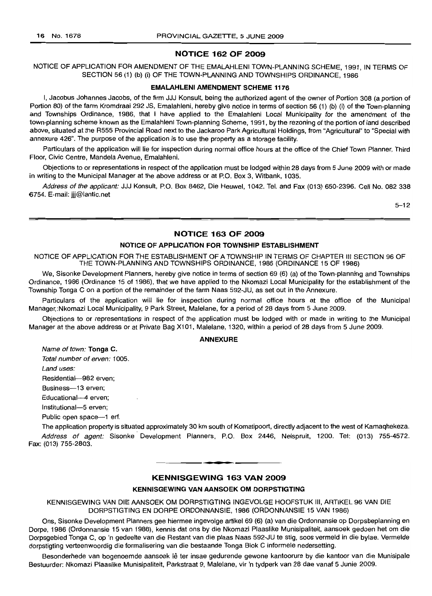## **NOTICE 162 OF 2009**

NOTICE OF APPLICATION FOR AMENDMENT OF THE EMALAHLENI TOWN-PLANNING SCHEME, 1991, IN TERMS OF SECTION 56 (1) (b) (i) OF THE TOWN-PLANNING AND TOWNSHIPS ORDINANCE, 1986

#### **EMALAHLENI AMENDMENT SCHEME 1176**

I, Jacobus Johannes Jacobs, of the firm JJJ Konsult, being the authorized agent of the owner of Portion 308 (a portion of Portion 80) of the farm Kromdraai 292 JS, Emalahleni, hereby give notice in terms of section 56 (1) (b) (i) of the Town-planning and Townships Ordinance, 1986, that I have applied to the Emalahleni Local Municipality for the amendment of the town-planning scheme known as the Emalahleni Town-planning Scheme, 1991, by the rezoning of the portion of land described above, situated at the R555 Provincial Road next to the Jackaroo Park Agricultural Holdings, from "Agricultural" to "Special with annexure 426". The purpose of the application is to use the property as a storage facility.

Particulars of the application will lie for inspection during normal office hours at the office of the Chief Town Planner, Third Floor, Civic Centre, Mandela Avenue, Emalahleni.

Objections to or representations in respect of the application must be lodged within 28 days from 5 June 2009 with or made in writing to the Municipal Manager at the above address or at P.O. Box 3, Witbank, 1035.

Address of the applicant: JJJ Konsult, P.O. Box 8462, Die Heuwel, 1042. Tel. and Fax (013) 650-2396. Cell No. 082 338 6754. E-mail: jjj@lantic.net

5-12

## **NOTICE 163 OF 2009**

#### **NOTICE OF APPLICATION FOR TOWNSHIP ESTABLISHMENT**

NOTICE OF APPLICATION FOR THE ESTABLISHMENT OF A TOWNSHIP IN TERMS OF CHAPTER III SECTION 96 OF THE TOWN-PLANNING AND TOWNSHIPS ORDINANCE, 1986 (ORDINANCE 15 OF 1986)

We, Sisonke Development Planners, hereby give notice in terms of section 69 (6) (a) of the Town-planning and Townships Ordinance, 1986 (Ordinance 15 of 1986), that we have applied to the Nkomazi Local Municipality for the establishment of the Township Tonga C on a portion of the remainder of the farm Naas 592-JU, as set out in the Annexure.

Particulars of the application will lie for inspection during normal office hours at the office of the Municipal Manager,:Nkomazi Local Municipality, 9 Park Street, Malelane, for a period of 28 days from 5 June 2009.

Objections to or representations in respect of the application must be lodged with or made in writing to the Municipal Manager at the above address or at Private Bag X101, Malelane, 1320, within a period of 28 days from 5 June 2009.

## **ANNEXURE**

Name of town: **Tonga** C.

Total number of erven: 1005.

Land uses:

Residential-982 erven;

Business-13 erven;

Educational-4 erven;

Institutional-5 erven;

Public open space-1 erf.

The application property is situated approximately 30 km south of Komatipoort, directly adjacent to the west of Kamaqhekeza. Address of agent: Sisonke Development Planners, P.O. Box 2446, Nelspruit, 1200. Tel: (013) 755-4572. Fax: (013) 755-2803.

## **KENNISGEWING 163 VAN 2009**

**• •**

#### **KENNISGEWING VAN AANSOEK OM DORPSTIGTING**

KENNISGEWING VAN DIE AANSOEK OM DORPSTIGTING INGEVOLGE HOOFSTUK III, ARTIKEL 96 VAN DIE DORPSTIGTING EN DORPE ORDONNANSIE, 1986 (ORDONNANSIE 15 VAN 1986)

Ons, Sisonke Development Planners gee hiermee ingevolge artikel 69 (6) (a) van die Ordonnansie op Dorpsbeplanning en Dorpe, 1986 (Ordonnansie 15 van 1986), kennis dat ons by die Nkomazi Plaaslike Munisipaliteit, aansoek gedoen het om die Dorpsgebied Tonga C, op 'n gedeelte van die Restant van die plaas Naas 592-JU te stig, soos vermeld in die bylae. Vermelde dorpstigting verteenwoordig die formalisering van die bestaande Tonga Blok C informele nedersetting.

Besonderhede van bogenoemde aansoek lê ter insae gedurende gewone kantoorure by die kantoor van die Munisipale Bestuurder: Nkomazi Plaaslike Munisipaliteit, Parkstraat 9, Malelane, vir 'n tydperk van 28 dae vanaf 5 Junie 2009.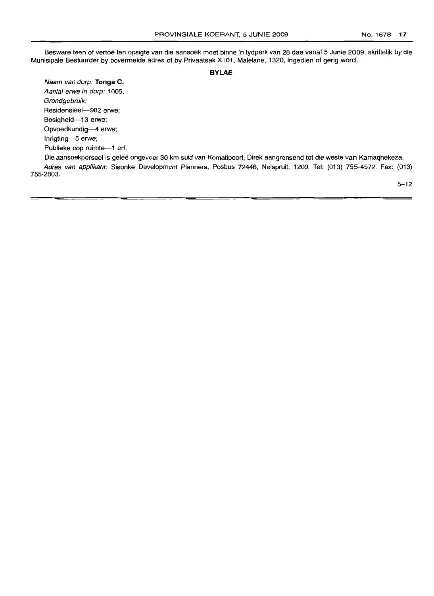Besware teen of vertoë ten opsigte van die aansoek moet binne 'n tydperk van 28 dae vanaf 5 Junie 2009, skriftelik by die Munisipale Bestuurder by bovermelde adres of by Privaatsak X101, Malelane, 1320, ingedien of gerig word.

## **BYLAE**

Naam van dorp: **Tonga C.** Aantal erwe in dorp: 1005. Grondgebruik: Residensieel-982 erwe; Besigheid-13 erwe; Opvoedkundig-4 erwe; Inrigting-5 erwe; Publieke oop ruimte-1 erf.

Die aansoekperseel is gelee ongeveer 30 km suid van Komatipoort, Direk aangrensend tot die weste van Kamaqhekeza.

Adres van applikant: Sisonke Development Planners, Posbus 72446, Nelspruit, 1200. Tel: (013) 755-4572. Fax: (013) 755-2803.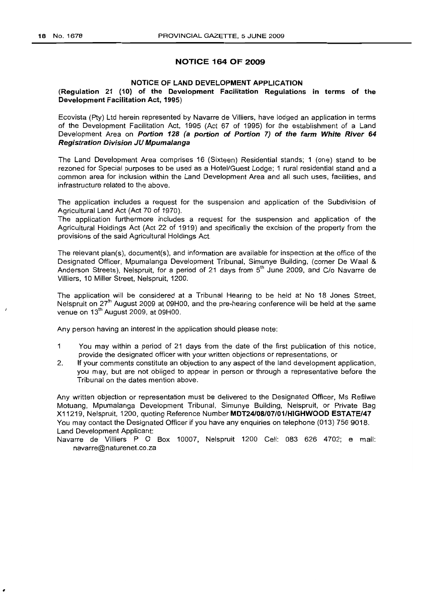## **NOTICE 164 OF 2009**

## NOTICE OF LAND DEVELOPMENT APPLICATION

## (Regulation 21 (10) of the Development Facilitation Regulations in terms of the Development Facilitation Act, 1995)

Ecovista (Pty) Ltd herein represented by Navarre de Villiers, have lodged an application in terms of the Development Facilitation Act, 1995 (Act 67 of 1995) for the establishment of a Land Development Area on Portion 128 (a portion of Portion 7) of the farm White River 64 Registration Division JU Mpumalanga

The Land Development Area comprises 16 (Sixteen) Residential stands; 1 (one) stand to be rezoned for Special purposes to be used as a Hotel/Guest Lodge; 1 rural residential stand and a common area for inclusion within the Land Development Area and all such uses, facilities, and infrastructure related to the above.

The application includes a request for the suspension and application of the Subdivision of Agricultural Land Act (Act 70 of 1970).

The application furthermore includes a request for the suspension and application of the Agricultural Holdings Act (Act 22 of 1919) and specifically the excision of the property from the provisions of the said Agricultural Holdings Act.

The relevant plan(s), document(s), and information are available for inspection at the office of the Designated Officer, Mpumalanga Development Tribunal, Simunye Building, (corner De Waal & Anderson Streets), Nelspruit, for a period of 21 days from 5<sup>th</sup> June 2009, and C/o Navarre de Villiers, 10 Miller Street, Nelspruit, 1200.

The application will be considered at a Tribunal Hearing to be held at No 18 Jones Street, Nelspruit on 27<sup>th</sup> August 2009 at 09H00, and the pre-hearing conference will be held at the same venue on 13<sup>th</sup> August 2009, at 09H00.

Any person having an interest in the application should please note:

- $\mathbf{1}$ You may within a period of 21 days from the date of the first publication of this notice, provide the designated officer with your written objections or representations, or
- 2. If your comments constitute an objection to any aspect of the land development application, you may, but are not obliged to appear in person or through a representative before the Tribunal on the dates mention above.

Any written objection or representation must be delivered to the Designated Officer, Ms Refilwe Motuang, Mpumalanga Development Tribunal, Simunye Building, Nelspruit, or Private Bag X11219, Nelspruit, 1200, quoting Reference Number MDT24/0B/07/01/HIGHWOOD ESTATE/47 You may contact the Designated Officer if you have any enquiries on telephone (013) 756 9018. Land Development Applicant:

Navarre de Villiers P O Box 10007, Nelspruit 1200 Cell: 083 626 4702; e mail: navarre@naturenet.co.za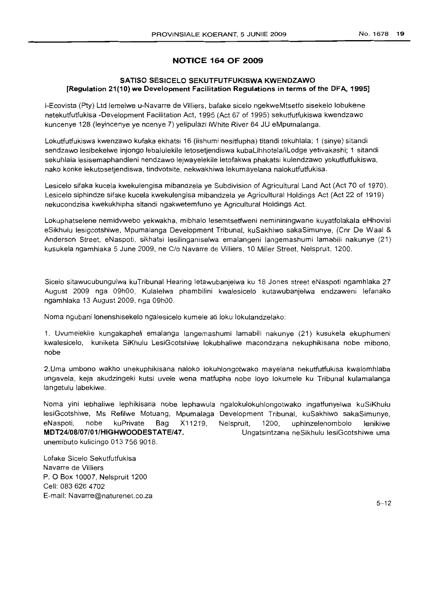## **NOTICE 164 OF 2009**

## SATISO SESICELO SEKUTFUTFUKISWA KWENDZAWO [Regulation 21(10) we Development Facilitation Regulations in terms of the DFA, 1995]

i-Ecovista (Pty) Ltd lemelwe u-Navarre de Villiers, bafake sicelo ngekweMtsetfo sisekelo lobukene netekutfutfukisa -Development Facilitation Act, 1995 (Act 67 of 1995) sekutfutfukiswa kwendzawo kuncenye 128 (Ieyincenye ye ncenye 7) yelipulazi iWhite River 64 JU eMpumalanga.

Lokutfutfukiswa kwenzawo kufaka ekhatsi 16 (lishumi nesitfupha) titandi tekuhlala; 1 (sinye) sitandi sendzawo lesibekelwe injongo lebalulekile letosetjendiswa kubaLihhotela/iLodge yetivakashi; 1 sitandi sekuhlala lesisemaphandleni nendzawo lejwayelekile letofakwa phakatsi kulendzawo yokutfutfukiswa, nako konke lekutosetjendiswa, tindvotsite, nekwakhiwa lekumayelana nalokutfutfukisa.

Lesicelo sifaka kucela kwekulengisa mibandzela ye Subdivision of Agricultural Land Act (Act 70 of 1970). Lesicelo siphindze sifake kucela kwekulengisa mibandzela ye Agricultural Holdings Act (Act 22 of 1919) nekucondzisa kwekukhipha sitandi ngakwetemfuno ye Agricultural Holdings Act.

Lokuphatselene nemidvwebo yekwakha, mibhalo lesemtsetfweni nemininingwane kuyatfolakala eHhovisi eSikhulu lesigcotshiwe, Mpumalanga Development Tribunal, kuSakhiwo sakaSimunye, (Cnr De Waal & Anderson Street, eNaspoti, sikhatsi lesilinganiselwa emalangeni langemashumi lamabili nakunye (21) kusukela ngamhlaka 5 June 2009, ne C/o Navarre de Villiers, 10 Miller Street, Nelspruit, 1200.

Sicelo sitawucubungulwa kuTribunal Hearing letawubanjelwa ku 18 Jones street eNaspoti ngamhlaka 27 August 2009 nga 09hOO, Kulalelwa phambilini kwalesicelo kutawubanjelwa endzaweni lefanako ngamhlaka 13 August 2009, nga 09hOO.

Noma ngubani lonenshisekelo ngalesicelo kumele ati loku lokulandzelako:

1. Uvumelekile kungakapheli emalanga langemashumi lamabili nakunye (21) kusukela ekuphumeni kwalesicelo, kuniketa SiKhulu LesiGcotshiwe lokubhaliwe macondzana nekuphikisana nobe mibono, nobe

2.Uma umbono wakho unekuphikisana naloko lokuhlongotwako mayelana nekutfutfukisa kwalomhlaba ungavela, keja akudzingeki kutsi uvele wena matfupha nobe loyo lokumele ku Tribunal kulamalanga langetulu labekiwe.

Noma yini lebhaliwe lephikisana nobe lephawula ngalokulokuhlongotwako ingatfunyelwa kuSiKhulu lesiGcotshiwe, Ms Refilwe Motuang, Mpumalaga Development Tribunal, kuSakhiwo sakaSimunye, eNaspoti, nobe kuPrivate Bag X11219, MDT24/0B/07/01/HIGHWOODESTATE/47. unemibuto kulicingo 013 756 9018. Nelspruit, 1200, uphinzelenombolo lenikiwe Ungatsintzana neSikhulu lesiGcotshiwe uma

Lofake Sicelo Sekutfutfukisa Navarre de Villiers P. 0 Box 10007, Nelspruit 1200 Cell: 0836264702 E-mail: Navarre@naturenet.co.za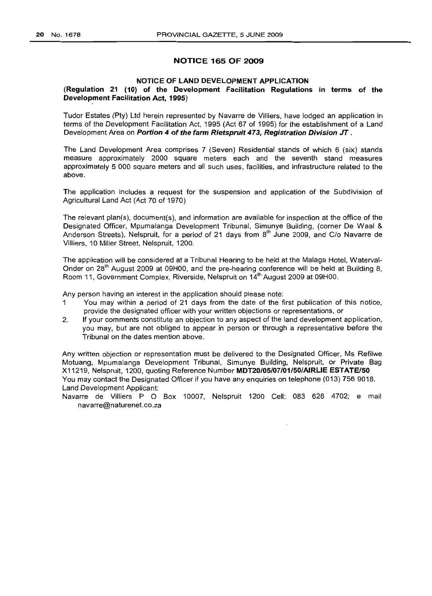## NOTICE 165 OF 2009

## NOTICE OF LAND DEVELOPMENT APPLICATION

## (Regulation 21 (10) of the Development Facilitation Regulations in terms of the Development Facilitation Act, 1995)

Tudor Estates (Pty) Ltd herein represented by Navarre de Villiers, have lodged an application in terms of the Development Facilitation Act, 1995 (Act 67 of 1995) for the establishment of a Land Development Area on Portion 4 of the farm Rietspruit 473, Registration Division JT.

The Land Development Area comprises 7 (Seven) Residential stands of which 6 (six) stands measure approximately 2000 square meters each and the seventh stand measures approximately 5 000 square meters and all such uses, facilities, and infrastructure related to the above.

The application includes a request for the suspension and application of the Subdivision of Agricultural Land Act (Act 70 of 1970)

The relevant plan(s), document(s), and information are available for inspection at the office of the Designated Officer, Mpumalanga Development Tribunal, Simunye Building, (corner De Waal & Anderson Streets), Nelspruit, for a period of 21 days from 8<sup>th</sup> June 2009, and C/o Navarre de Villiers, 10 Miller Street, Nelspruit, 1200.

The application will be considered at a Tribunal Hearing to be held at the Malaga Hotel, Waterval-Onder on 28<sup>th</sup> August 2009 at 09H00, and the pre-hearing conference will be held at Building 8, Room 11, Government Complex, Riverside, Nelspruit on 14<sup>th</sup> August 2009 at 09H00.

Any person having an interest in the application should please note:

- 1 You may within a period of 21 days from the date of the first publication of this notice, provide the designated officer with your written objections or representations, or
- 2. If your comments constitute an objection to any aspect of the land development application, you may, but are not obliged to appear in person or through a representative before the Tribunal on the dates mention above.

Any written objection or representation must be delivered to the Designated Officer, Ms Refilwe Motuang, Mpumalanga Development Tribunal, Simunye Building, Nelspruit, or Private Bag X11219, Nelspruit, 1200, quoting Reference Number MDT20/05/07/01/50/AIRLIE ESTATE/50 You may contact the Designated Officer if you have any enquiries on telephone (013) 756 9018. Land Development Applicant:

Navarre de Villiers P O Box 10007, Nelspruit 1200 Cell: 083 626 4702; e mail navarre@naturenet.co.za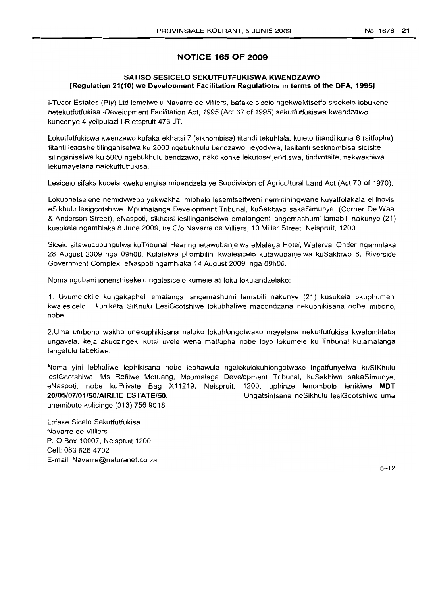## **NOTICE 165 OF 2009**

## **SATISO SESICELO SEKUTFUTFUKISWA KWENDZAWO [Regulation 21(10) we Development Facilitation Regulations in terms** of the **DFA, 1995]**

i-Tudor Estates (Pty) Ltd lemelwe u-Navarre de Villiers, bafake sicelo ngekweMtsetfo sisekelo lobukene netekutfutfukisa -Development Facilitation Act, 1995 (Act 67 of 1995) sekutfutfukiswa kwendzawo kuncenye 4 yelipulazi i-Rietspruit 473 JT.

Lokutfutfukiswa kwenzawo kufaka ekhatsi 7 (sikhombisa) titandi tekuhlala, kuleto titandi kuna 6 (sitfupha) titanti leticishe tilinganiselwa ku 2000 ngebukhulu bendzawo, leyodvwa, lesitanti seskhombisa sicishe silinganiselwa ku 5000 ngebukhulu bendzawo, nako konke lekutosetjendiswa, tindvotsite, nekwakhiwa lekumayelana nalokutfutfukisa.

Lesicelo sifaka kucela kwekulengisa mibandzela ye Subdivision of Agricultural Land Act (Act 70 of 1970).

Lokuphatselene nemidvwebo yekwakha, mibhalo lesemtsetfweni nemininingwane kuyatfolakala eHhovisi eSikhulu lesigcotshiwe, Mpumalanga Development Tribunal, kuSakhiwo sakaSimunye, (Corner De Waal & Anderson Street), eNaspoti, sikhatsi lesilinganiselwa emalangeni langemashumi lamabili nakunye (21) kusukela ngamhlaka 8 June 2009, ne C/o Navarre de Villiers, 10 Miller Street, Nelspruit, 1200.

Sicelo sitawucubungulwa kuTribunal Hearing ietawubanjelwa eMalaga Hotel, Waterval Onder ngamhlaka 28 August 2009 nga 09hOO, Kulalelwa phambilini kwalesicelo kutawubanjelwa kuSakhiwo 8, Riverside Government Complex, eNaspoti ngamhlaka 14 August 2009, nga 09hOO.

Noma ngubani lonenshisekelo ngalesicelo kumele ati loku lokulandzelako:

1. Uvumelekile kungakapheli emalanga langemashumi lamabili nakunye (21) kusukela ekuphumeni kwalesicelo, kuniketa SiKhulu LesiGcotshiwe lokubhaliwe macondzana nekuphikisana nobe mibono, nobe

2.Uma umbono wakho unekuphikisana naloko lokuhlongotwako mayelana nekutfutfukisa kwalomhlaba ungavela, keja akudzingeki kutsi uvele wena matfupha nobe loyo lokumele ku Tribunal kulamalanga langetulu labekiwe.

Noma yini lebhaliwe lephikisana nobe lephawula ngalokulokuhlongotwako ingatfunyelwa kuSiKhulu lesiGcotshiwe, Ms Refilwe Motuang, Mpumalaga Development Tribunal, kuSakhiwo sakaSimunye, eNaspoti, no be kuPrivate Bag X11219, Nelspruit, 1200, uphinze lenombolo lenikiwe **MDT 20/05/07/01/50/AIRLIE ESTATE/50.** Ungatsintsana neSikhulu lesiGcotshiwe uma unemibuto kulicingo (013) 756 9018.

Lofake Sicelo Sekutfutfukisa Navarre de Villiers P. 0 Box 10007, Nelspruit 1200 Cell: 0836264702 E-mail: Navarre@naturenet.co.za

 $5 - 12$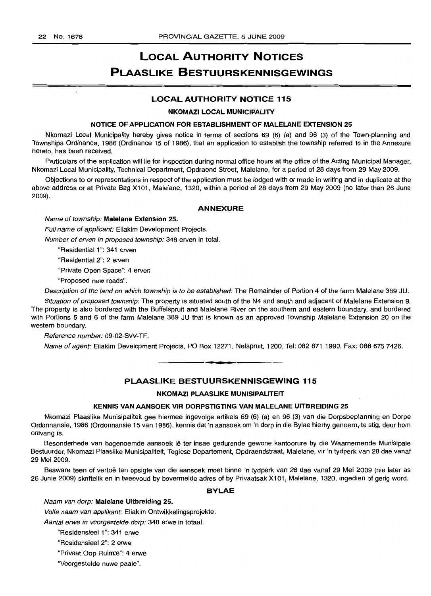# **LOCAL AUTHORITY NOTICES PLAASLIKE BESTUURSKENNISGEWINGS**

## **LOCAL AUTHORITY NOTICE 115**

#### **NKOMAZI LOCAL MUNICIPALITY**

#### **NOTICE OF APPLICATION FOR ESTABLISHMENT OF MALELANE EXTENSION 25**

Nkomazi Local Municipality hereby gives notice in terms of sections 69 (6) (a) and 96 (3) of the Town-planning and Townships Ordinance, 1986 (Ordinance 15 of 1986), that an application to establish the township referred to in the Annexure hereto, has been received.

Particulars of the application will lie for inspection during normal office hours at the office of the Acting Municipal Manager, Nkomazi Local Municipality, Technical Department, Opdraend Street, Malelane, for a period of 28 days from 29 May 2009.

Objections to or representations in respect of the application must be lodged with or made in writing and in duplicate at the above address or at Private Bag X101, Malelane, 1320, within a period of 28 days from 29 May 2009 (no later than 26 June 2009).

#### **ANNEXURE**

#### Name of township: **Malelane Extension 25.**

Full name of applicant: Eliakim Development Projects.

Number of erven in proposed township: 348 erven in total.

"Residential 1"; 341 erven

"Residential 2"; 2 erven

"Private Open Space": 4 erven

"Proposed new roads".

Description of the land on which township is to be established: The Remainder of Portion 4 of the farm Malelane 389 JU.

Situation of proposed township: The property is situated south of the N4 and south and adjacent of Malelane Extension 9. The property is also bordered with the Buffelspruit and Malelane River on the southern and eastern boundary, and bordered with Portions 5 and 6 of the farm Malelane 389 JU that is known as an approved Township Malelane Extension 20 on the western boundary.

Reference number: 09-02-SvV-TE.

Name of agent: Eliakim Development Projects, PO Box 12271, Nelspruit, 1200. Tel: 082 871 1990. Fax: 086 675 7426.

## **PLAASLIKE BESTUURSKENNISGEWING 115**

**• •**

#### **NKOMAZI PLAASLIKE MUNISIPALITEIT**

#### **KENNIS VAN AANSOEK VIR DORPSTIGTING VAN MALELANE UITBREIDING 25**

Nkomazi Plaaslike Munisipaliteit gee hiermee ingevolge artikels 69 (6) (a) en 96 (3) van die Dorpsbeplanning en Dorpe Ordonnansie, 1986 (Ordonnansie 15 van 1986), kennis dat 'n aansoek om 'n dorp in die Bylae hierby genoem, te stig, deur hom ontvang is.

Besonderhede van bogenoemde aansoek lê ter insae gedurende gewone kantoorure by die Waarnemende Munisipale Bestuurder, Nkomazi Plaaslike Munisipaliteit, Tegiese Departement, Opdraendstraat, Malelane, vir 'n tydperk van 28 dae vanaf 29 Mei 2009.

Besware teen of vertoe ten opsigte van die aansoek moet binne 'n tydperk van 28 dae vanaf 29 Mei 2009 (nie later as 26 Junie 2009) skriftelik en in tweevoud by bovermelde adres of by Privaatsak X101, Malelane, 1320, ingedien of gerig word.

#### **BYLAE**

#### Naam van dorp: **Malelane Uitbreiding 25.**

Volle naam van applikant: Eliakim Ontwikkelingsprojekte.

Aantal erwe in voorgestelde dorp: 348 erwe in totaal.

"Residensieel 1": 341 erwe

"Residensieel 2"; 2 erwe

"Privaat Oop Ruimte"; 4 erwe

"Voorgestelde nuwe paaie".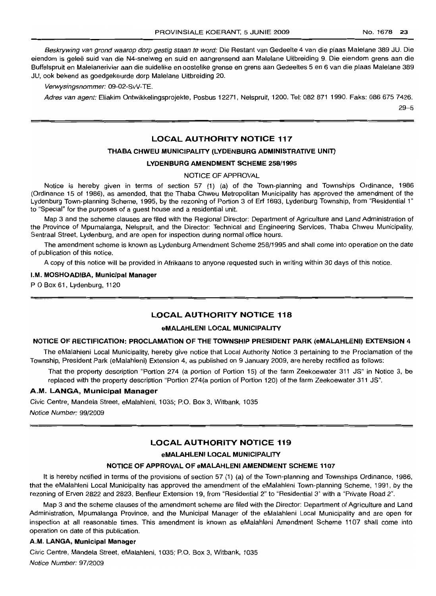PROVINSIALE KOERANT, 5 JUNIE 2009 No. 1678 23

Beskrywing van grond waarop dorp gestig staan te word: Die Restant van Gedeelte 4 van die plaas Malelane 389 JU. Die eiendom is geleë suid van die N4-snelweg en suid en aangrensend aan Malelane Uitbreiding 9. Die eiendom grens aan die Buffelspruit en Malelanerivier aan die suidelike en oostelike grense en grens aan Gedeeltes 5 en 6 van die plaas Malelane 389 JU, ook bekend as goedgekeurde dorp Malelane Uitbreiding 20.

Verwysingsnommer: 09-02-SvV-TE.

Adres van agent: Eliakim Ontwikkelingsprojekte, Posbus 12271, Nelspruit, 1200. Tel: 082 871 1990, Faks: 086 675 7426.

 $29 - 5$ 

## **LOCAL AUTHORITY NOTICE 117**

## **THABA CHWEU MUNICIPALITY** (LYDENBURG **ADMINISTRATIVE L1NIT)**

#### **LYDENBURG AMENDMENT SCHEME** 258/1995

#### NOTICE OF APPROVAL

Notice is hereby given in terms of section 57 (1) (a) of the Town-planning and Townships Ordinance, 1986 (Ordinance 15 of 1986), as amended, that the Thaba Chweu Metropolitan Municipality has approved 1the amendment of the Lydenburg Town-planning Scheme, 1995, by the rezoning of Portion 3 of Erf 1693, Lydenburg Township, from "Residential 1" to "Special" for the purposes of a guest house and a residential unit.

Map 3 and the scheme clauses are filed with the Regional Director: Department of Agriculture and Land Administration of the Province of Mpumalanga, Nelspruit, and the Director: Technical and Engineering Services, Thaba Chweu Municipality, Sentraal Street, Lydenburg, and are open for inspection during normal office hours.

The amendment scheme is known as Lydenburg Amendment Scheme 258/1995 and shall come into operation on the date of publication of this notice.

A copy of this notice will be provided in Afrikaans to anyone requested such in writing within 30 days of this notice.

#### I.M. **MOSHOADIBA, Municipal Manager**

P O Box 61, Lydenburg, 1120

## **LOCAL AUTHORITY NOTICE 118**

#### **eMALAHLENI LOCAL MUNICIPALITY**

## **NOTICE OF RECTIFICATION: PROCLAMATION OF THE TOWNSHIP PRESIDENT PARK (eMALAHLENI) EXTENSION** 4

The eMalahleni Local Municipality, hereby give notice that Local Authority Notice 3 pertaining to the Proclamation of the Township, President Park (eMalahleni) Extension 4, as published on 9 January 2009, are hereby rectified as follows:

That the property description "Portion 274 (a portion of Portion 15) of the farm Zeekoewater 311 JS" in Notice 3, be replaced with the property description "Portion 274(a portion of Portion 120) of the farm Zeekoewater 311 JS".

## A.M. **LANGA, Municipal Manager**

Civic Centre, Mandela Street, eMalahleni, 1035; P.O. Box 3, Witbank, 1035 Notice Number: 99/2009

## LOCAL AUTHORITY **NOTICE 119**

### **eMALAHLENI LOCAL MUNICIPALITY**

#### **NOTICE OF APPROVAL OF eMALAHLENI AMENDMENT SCHEME 1107**

It is hereby notified in terms of the provisions of section 57 (1) (a) of the Town-planning and Townships Ordinance, 1986, that the eMalahleni Local Municipality has approved the amendment of the eMalahleni Town-planning Scheme, 1991, by the rezoning of Erven 2822 and 2823, Benfleur Extension 19, from "Residential 2" to "Residential 3" with a 'Private Road 2".

Map 3 and the scheme clauses of the amendment scheme are filed with the Director: Department of Agriculture and Land Administration, Mpumalanga Province, and the Municipal Manager of the eMalahleni Local Municipality and are open for inspection at all reasonable times. This amendment is known as eMalahleni Amendment Scheme 1107 shall come into operation on date of this publication.

#### A.IM. **LANGA, Municipal Manager**

Civic Centre, Mandela Street, eMalahleni, 1035; P.O. Box 3, Witbank, 1035 Notice Number: 97/2009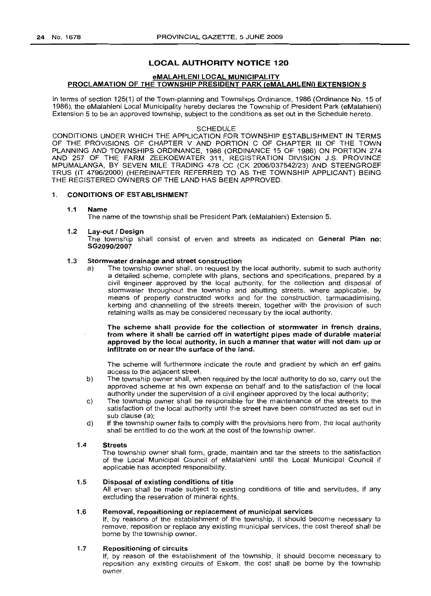## LOCAL AUTHORITY NOTICE 120

## eMALAHLENI LOCAL MUNICIPALITY PROCLAMATION OF THE TOWNSHIP PRESIDENT PARK (eMALAHLENI) EXTENSION 5

In terms of section 125(1) of the Town-planning and Townships Ordinance, 1986 (Ordinance No. 15 of 1986), the eMalahleni Local Municipality hereby declares the Township of President Park (eMalahleni) Extension 5 to be an approved township, subject to the conditions as set out in the Schedule hereto.

#### SCHEDULE

CONDITIONS UNDER WHICH THE APPLICATION FOR TOWNSHIP ESTABLISHMENT IN TERMS OF THE PROVISIONS OF CHAPTER V AND PORTION C OF CHAPTER III OF THE TOWN PLANNING AND TOWNSHIPS ORDINANCE, 1986 (ORDINANCE 15 OF 1986) ON PORTION 274 AND 257 OF THE FARM ZEEKOEWATER 311, REGISTRATION DIVISION J.S. PROVINCE MPUMALANGA, BY SEVEN MILE TRADING 478 CC (CK 2006/037542/23) AND STEENGROEF TRUS (IT 4796/2000) (HEREINAFTER REFERRED TO AS THE TOWNSHIP APPLICANT) BEING THE REGISTERED OWNERS OF THE LAND HAS BEEN APPROVED.

#### 1. CONDITIONS OF ESTABLISHMENT

#### 1.1 Name

The name of the township shall be President Park (eMalahleni) Extension 5.

#### 1.2 Lav-out / Design

The township shall consist of erven and streets as indicated on General Plan no: SG2090/2007

#### 1.3 Stormwater drainage and street construction

a) The township owner shall, on request by the local authority, submit to such authority a detailed scheme, complete with plans, sections and specifications, prepared by a civil engineer approved by the local authority, for the collection and disposal of stormwater throughout the township and abutting streets, where applicable, by means of properly constructed works and for the construction, tarmacadimising, kerbing and channelling of the streets therein, together with the provision of such retaining walls as may be considered necessary by the local authority.

The scheme shall provide for the collection of stormwater in french drains, from where it shall be carried off in watertight pipes made of durable material approved by the local authority, in such a manner that water will not dam up or infiltrate on or near the surface of the land.

The scheme will furthermore indicate the route and gradient by which an erf gains access to the adjacent street.

- b) The township owner shall, when required by the local authority to do so, carry out the approved scheme at his own expense on behalf and to the satisfaction of the local authority under the supervision of a civil engineer approved by the local authority;
- c) The township owner shall be responsible for the maintenance of the streets to the satisfaction of the local authority until the street have been constructed as set out in sub clause (a);
- d) If the township owner fails to comply with the provisions here from, the local authority shall be entitled to do the work at the cost of the township owner.

#### 1.4 Streets

The township owner shall form, grade, maintain and tar the streets to the satisfaction of the Local Municipal Council of eMalahleni until the Local Municipal Council if applicable has accepted responsibility.

## 1.5 Disposal of existing conditions of title

All erven shall be made subject to existing conditions of title and servitudes, if any excluding the reservation of mineral rights.

#### 1.6 Removal, repositioning or replacement of municipal services

If, by reasons of the establishment of the township, it should become necessary to remove, reposition or replace any existing municipal services, the cost thereof shall be borne by the township owner.

#### 1.7 Repositioning of circuits

If, by reason of the establishment of the township, it should become necessary to reposition any existing circuits of Eskom, the cost shall be borne by the township owner.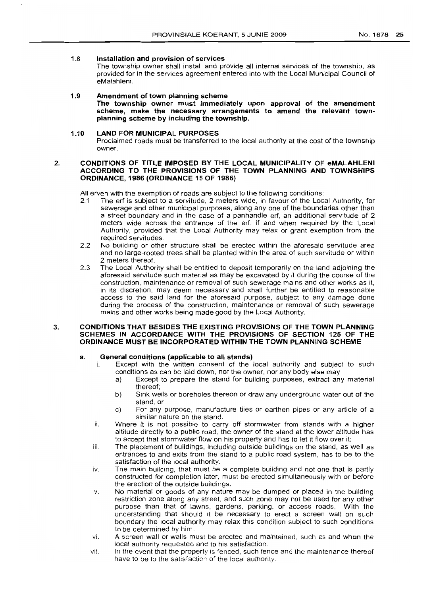## 1.8 Installation and provision of services

The township owner shall install and provide all internal services of the township, as provided for in the services agreement entered into with the Local Municipal Council of eMalahleni.

#### 1.9 Amendment of town planning scheme

The township owner must immediately upon approval of the amendment scheme, make the necessary arrangements to amend the relevant townplanning scheme by including the township.

#### 1.10 LAND FOR MUNICIPAL PURPOSES

Proclaimed roads must be transferred to the local authority at the cost of the township owner.

#### 2. CONDITIONS OF TITLE IMPOSED BY THE LOCAL MUNICIPALITY OF eMALAHLENI ACCORDING TO THE PROVISIONS OF THE TOWN PLANNING AND TOWNSHIPS ORDINANCE, 1986 (ORDINANCE 15 OF 1986)

All erven with the exemption of roads are subject to the following conditions:

- 2.1 The erf is subject to a servitude, 2 meters wide, in favour of the Local Authority, for sewerage and other municipal purposes, along anyone of the boundaries other than a street boundary and in the case of a panhandle erf, an additional servitude of 2 meters wide across the entrance of the erf, if and when required by the Local Authority, provided that the Local Authority may relax or grant exemption from the required servitudes.
- 2.2 No building or other structure shall be erected within the aforesaid servitude area and no large-rooted trees shall be planted within the area of such servitude or within 2 meters thereof.
- 2.3 The Local Authority shall be entitled to deposit temporarily on the land adjoining the aforesaid servitude such material as may be excavated by it during the course of the construction, maintenance or removal of such sewerage mains and other works as it, in its discretion, may deem necessary and shall further be entitled to reasonable access to the said land for the aforesaid purpose, subject to any damage done during the process of the construction, maintenance or removal of such sewerage mains and other works being made good by the Local Authority.

## 3. CONDITIONS THAT BESIDES THE EXISTING PROVISIONS OF THE TOWN PLANNING SCHEMES IN ACCORDANCE WITH THE PROVISIONS OF SECTION 125 OF THE ORDINANCE MUST BE INCORPORATED WITHIN THE TOWN PLANNING SCHEME

# a. General conditions (applicable to all stands)<br>i. Except with the written consent of the

- Except with the written consent of the local authority and subject to such conditions as can be laid down, nor the owner, nor any body else may
	- a) Except to prepare the stand for building purposes, extract any material thereof;
	- b) Sink wells or boreholes thereon or draw any underground water out of the stand, or
	- c) For any purpose, manufacture tiles or earthen pipes or any article of a similar nature on the stand.
- ii. Where it is not possible to carry off stormwater from stands with a higher altitude directly to a public road. the owner of the stand at the lower altitude has to accept that stormwater flow on his property and has to let it flow over it;
- iii. The placement of buildings, including outside buildings on the stand, as well as entrances to and exits from the stand to a public road system, has to be to the satisfaction of the local authority.
- iv. The main building, that must be a complete building and not one that is partly constructed for completion later, must be erected simultaneously with or before the erection of the outside buildings.
- *v.* No material or goods of any nature may be dumped or placed in the building restriction zone along any street, and such zone may not be used for any other purpose than that of lawns, gardens, parking. or access roads. With the understanding that should it be necessary to erect a screen wall on such boundary the local authority may relax this condition subject to such conditions to be determined by him.
- vi. A screen wall or walls must be erected and maintained, such as and when the local authority requested and to his satisfaction.
- vii. In the event that the property is fenced, such fence and the maintenance thereof have to be to the satisfaction of the local authority.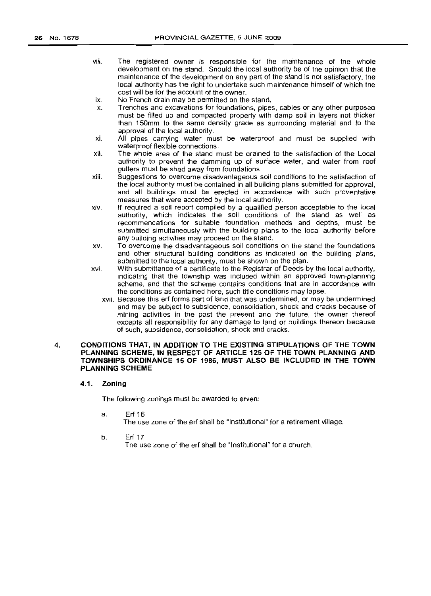- viii. The registered owner is responsible for the maintenance of the whole development on the stand. Should the local authority be of the opinion that the maintenance of the development on any part of the stand is not satisfactory, the local authority has the right to undertake such maintenance himself of which the cost will be for the account of the owner.
- ix. No French drain may be permitted on the stand.
- x. Trenches and excavations for foundations, pipes, cables or any other purposed must be filled up and compacted properly with damp soil in layers not thicker than 150mm to the same density grade as surrounding material and to the approval of the local authority.
- xi. All pipes carrying water must be waterproof and must be supplied with waterproof flexible connections.
- xii. The whole area of the stand must be drained to the satistaction of the Local authority to prevent the damming up of surface water, and water from roof gutters must be shed away from foundations.
- xiii. Suggestions to overcome disadvantageous soil conditions to the satisfaction of the local authority must be contained in all building plans submitted for approval, and all buildings must be erected in accordance with such preventative measures that were accepted by the local authority.
- xiv. If required a soil report compiled by a qualified person acceptable to the local authority, which indicates the soil conditions of the stand as well as recommendations for suitable foundation methods and depths, must be submitted simultaneously with the building plans to the local authority before any building activities may proceed on the stand.
- xv. To overcome the disadvantageous soil conditions on the stand the foundations and other structural building conditions as indicated on the building plans, submitted to the local authority, must be shown on the plan.
- xvi. With submittance of a certificate to the Registrar of Deeds by the local authority, indicating that the township was included within an approved town-planning scheme, and that the scheme contains conditions that are in accordance with the conditions as contained here, such title conditions may lapse.
	- xvii. Because this erf forms part of land that was undermined, or may be undermined and may be subject to subsidence, consolidation, shock and cracks because of mining activities in the past the present and the future, the owner thereof excepts all responsibility for any damage to land or buildings thereon because of such, subsidence, consolidation, shock and cracks.

### 4. CONDITIONS THAT, IN ADDITION TO THE EXISTING STIPULATIONS OF THE TOWN PLANNING SCHEME, IN RESPECT OF ARTICLE 125 OF THE TOWN PLANNING AND TOWNSHIPS ORDINANCE 15 OF 1986, MUST ALSO BE INCLUDED IN THE TOWN PLANNING SCHEME

### 4.1. Zoning

The following zonings must be awarded to erven:

a. Erf16

The use zone of the erf shall be "Institutional" for a retirement village.

b. Erf 17

The use zone of the erf shall be "Institutional" for a church.